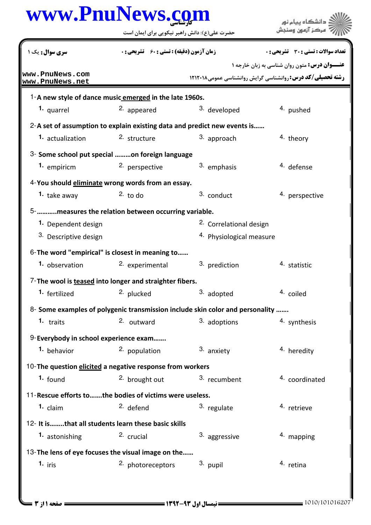## كارشناسي **[www.PnuNews.com](http://www.PnuNews.com)**

.<br>دانشگاه پيام نور<br>مرکز آزمون وسنجش حضرت علي(ع): دانش راهبر نيكويي براي ايمان است نعداد سوالات : تستي : 30 - تشريحي : . زمان آزمون (دقيقه) : تستي : 60 - تشريحي : . سري سوال : يك 1 **عنـــوان درس:** متون روان شناسی به زبان خارجه ۱ **[www.PnuNews.com](http://pnunews.com) رشته تحصیلی/کد درس: روانشناسی گرایش روانشناسی عمومی1۲۱۲۰۱۸ [www.PnuNews.net](http://pnunews.net)**1-A new style of dance music emerged in the late 1960s. **1.** quarrel **2.** appeared **2.** 3. developed 4. pushed 2-A set of assumption to explain existing data and predict new events is...... **1.** actualization  $\frac{2}{5}$  structure  $\frac{3}{5}$  approach  $\frac{4}{5}$  theory 2. structure 3- Some school put special .........on foreign language 1. empiricm 2. perspective and <sup>3.</sup> emphasis and <sup>4</sup>. defense 4-You should **eliminate** wrong words from an essay. 2. to do  $\frac{3.00}{2}$  conduct  $\frac{4.00}{2}$  perspective **1.** take away ………..measures the relation between occurring variable. 5- 2. Correlational design **1.** Dependent design 3. Descriptive design 4. Physiological measure  $6$ -The word "empirical" is closest in meaning to...... 1. observation and the seperimental and <sup>3</sup>. prediction and <sup>4</sup>. statistic 7-The wool is teased into longer and straighter fibers. 1. fertilized 2. plucked 3. adopted 4. coiled 8- Some examples of polygenic transmission include skin color and personality ....... 2. outward 1. traits **2.** outward **3.** adoptions 4. synthesis 9-Everybody in school experience exam....... 1. behavior **2. population** 3. anxiety **1. All 1. All 1. All 1. All 1. All 1. All 1. All 1. All 1. All 1. All 1. All 1. All 1. All 1. All 1. All 1. All 1. All 1. All 1. All 1. All 1. All 1. All 1. All 1. All 1. All 1. All** 10-The question elicited a negative response from workers **1.** found 2. brought out 3. recumbent 4. coordinated 11- Rescue efforts to .......the bodies of victims were useless. 1. claim and the claim and the claim claim and the claim and the claim and the claim and the claim and the claim and the claim and the claim and the claim and the claim and the claim and the claim and the claim and the cla 12- It is........that all students learn these basic skills **1.** astonishing **2.** crucial **2.**  $\alpha$  <sup>3.</sup> aggressive **1.** mapping 13- The lens of eye focuses the visual image on the...... 1. iris and the other photoreceptors and <sup>3</sup>. pupil the <sup>4</sup> retina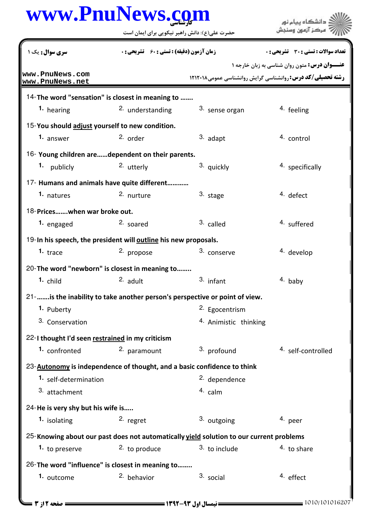## كارشناسي **[www.PnuNews.com](http://www.PnuNews.com)**

حضرت علي(ع): دانش راهبر نيكويي براي ايمان است

**عنـــوان درس:** متون روان شناسی به زبان خارجه ۱ **رشته تحصیلی/کد درس: روانشناسی گرایش روانشناسی عمومی1۲۱۲۰۱۸** نعداد سوالات : تستي : 30 - تشريحي : . زمان آزمون (دقيقه) : تستي : 60 - تشريحي : . سري سوال : يك 1 14-The word "sensation" is closest in meaning to ....... **1.** hearing **1.** 2. understanding **1.** Sense organ **1.** Feeling 15-You should adjust yourself to new condition. 1. answer 2. order and  $2$  order and  $3$  adapt 4. control 3. adapt 16- Young children are......dependent on their parents. 2. utterly  $3.$  quickly  $4.$  specifically **1.** publicly 17- Humans and animals have quite different............ natures and the contract of the contract  $\frac{3}{100}$  stage and the defect **1.** natures 2. nurture 3. stage 4. defect 18-Prices.......when war broke out. **1.** engaged 2. soared 3. called 4. suffered 19-In his speech, the president will outline his new proposals. 1. trace 2. propose 3. conserve 4. develop 3. conserve 20-The word "newborn" is closest in meaning to........ child and the <sup>2</sup> adult the <sup>3</sup> infant the <sup>4</sup> baby **1.**  $\epsilon$  bild **2.**  $\epsilon$  adult 3. infant 4. 21-....... is the inability to take another person's perspective or point of view. 2. Egocentrism 4. Animistic thinking **1.** Puberty 3. Conservation 22-I thought I'd seen restrained in my criticism 1. confronted 2. paramount 3. profound 4. self-controlled 2. paramount 23-**Autonomy** is independence of thought, and a basic confidence to think 1. self-determination and the self-dependence 3. attachment and the calm of the calm 24-He is very shy but his wife is..... 1. isolating **2.** regret **1.** 2. 1. 3. outgoing 1. peer 25- Knowing about our past does not automatically **yield solution to our current problems** 1. to preserve **1.** 2. to produce **1.** 3. to include **1.** 4. to share 26-The word "influence" is closest in meaning to........ **1.** outcome  $2.$  behavior  $3.$  social  $4.$  effect **[www.PnuNews.com](http://pnunews.com) [www.PnuNews.net](http://pnunews.net)**